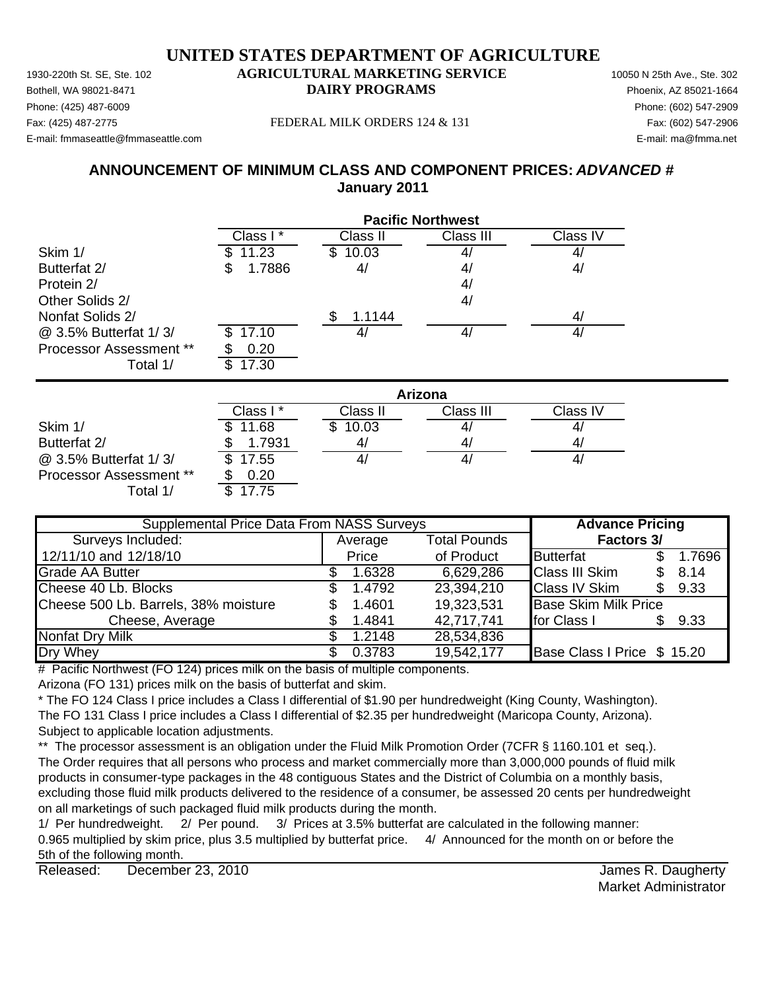Phone: (425) 487-6009 Phone: (602) 547-2909 E-mail: fmmaseattle@fmmaseattle.com E-mail: ma@fmma.net

#### Fax: (425) 487-2775 FEDERAL MILK ORDERS 124 & 131 Fax: (602) 547-2906

## **ANNOUNCEMENT OF MINIMUM CLASS AND COMPONENT PRICES:** *ADVANCED #* **January 2011**

|                         | <b>Pacific Northwest</b> |              |                |                   |  |  |
|-------------------------|--------------------------|--------------|----------------|-------------------|--|--|
|                         | Class I*                 | Class II     | Class III      | Class IV          |  |  |
| Skim 1/                 | 11.23                    | 10.03<br>SS. | 4,             | $\mathcal{A}_{l}$ |  |  |
| Butterfat 2/            | 1.7886<br>\$             | 4/           | 4/             | 4/                |  |  |
| Protein 2/              |                          |              | 4/             |                   |  |  |
| Other Solids 2/         |                          |              | 4/             |                   |  |  |
| Nonfat Solids 2/        |                          | \$<br>1.1144 |                | 4/                |  |  |
| @ 3.5% Butterfat 1/3/   | 17.10<br>\$              | 4/           | 41             | 4/                |  |  |
| Processor Assessment ** | 0.20                     |              |                |                   |  |  |
| Total 1/                | \$<br>17.30              |              |                |                   |  |  |
|                         | Arizona                  |              |                |                   |  |  |
|                         | Class I *                | Class II     | Class III      | Class IV          |  |  |
| $Q$ $\sim$              | ₼<br>44.00               | 1000<br>₼    | $\overline{A}$ | $\overline{1}$    |  |  |

|                                | Class I * | Class II | Class III | Class IV |
|--------------------------------|-----------|----------|-----------|----------|
| Skim 1/                        | 11.68     | 10.03    | 4,        |          |
| Butterfat 2/                   | 1.7931    | 4,       | 4,        | 4        |
| @ 3.5% Butterfat 1/3/          | \$17.55   |          | 4,        |          |
| <b>Processor Assessment **</b> | 0.20      |          |           |          |
| Total 1/                       | 7.75۱     |          |           |          |

| <b>Supplemental Price Data From NASS Surveys</b> | <b>Advance Pricing</b> |                     |                             |  |        |
|--------------------------------------------------|------------------------|---------------------|-----------------------------|--|--------|
| Surveys Included:                                | Average                | <b>Total Pounds</b> | <b>Factors 3/</b>           |  |        |
| 12/11/10 and 12/18/10                            | Price                  | of Product          | Butterfat                   |  | 1.7696 |
| <b>Grade AA Butter</b>                           | 1.6328                 | 6,629,286           | <b>Class III Skim</b>       |  | 8.14   |
| Cheese 40 Lb. Blocks                             | 1.4792                 | 23,394,210          | <b>Class IV Skim</b>        |  | 9.33   |
| Cheese 500 Lb. Barrels, 38% moisture             | 1.4601                 | 19,323,531          | <b>Base Skim Milk Price</b> |  |        |
| Cheese, Average                                  | 1.4841                 | 42,717,741          | for Class I                 |  | 9.33   |
| Nonfat Dry Milk                                  | 1.2148                 | 28,534,836          |                             |  |        |
| Dry Whey                                         | 0.3783                 | 19,542,177          | Base Class I Price \$ 15.20 |  |        |

# Pacific Northwest (FO 124) prices milk on the basis of multiple components.

Arizona (FO 131) prices milk on the basis of butterfat and skim.

\* The FO 124 Class I price includes a Class I differential of \$1.90 per hundredweight (King County, Washington). The FO 131 Class I price includes a Class I differential of \$2.35 per hundredweight (Maricopa County, Arizona). Subject to applicable location adjustments.

\*\* The processor assessment is an obligation under the Fluid Milk Promotion Order (7CFR § 1160.101 et seq.). The Order requires that all persons who process and market commercially more than 3,000,000 pounds of fluid milk products in consumer-type packages in the 48 contiguous States and the District of Columbia on a monthly basis, excluding those fluid milk products delivered to the residence of a consumer, be assessed 20 cents per hundredweight on all marketings of such packaged fluid milk products during the month.

1/ Per hundredweight. 2/ Per pound. 3/ Prices at 3.5% butterfat are calculated in the following manner: 0.965 multiplied by skim price, plus 3.5 multiplied by butterfat price. 4/ Announced for the month on or before the 5th of the following month.

Released: December 23, 2010 **Contract Contract Contract Contract Contract Contract Contract Contract Contract Contract Contract Contract Contract Contract Contract Contract Contract Contract Contract Contract Contract Cont** December 23, 2010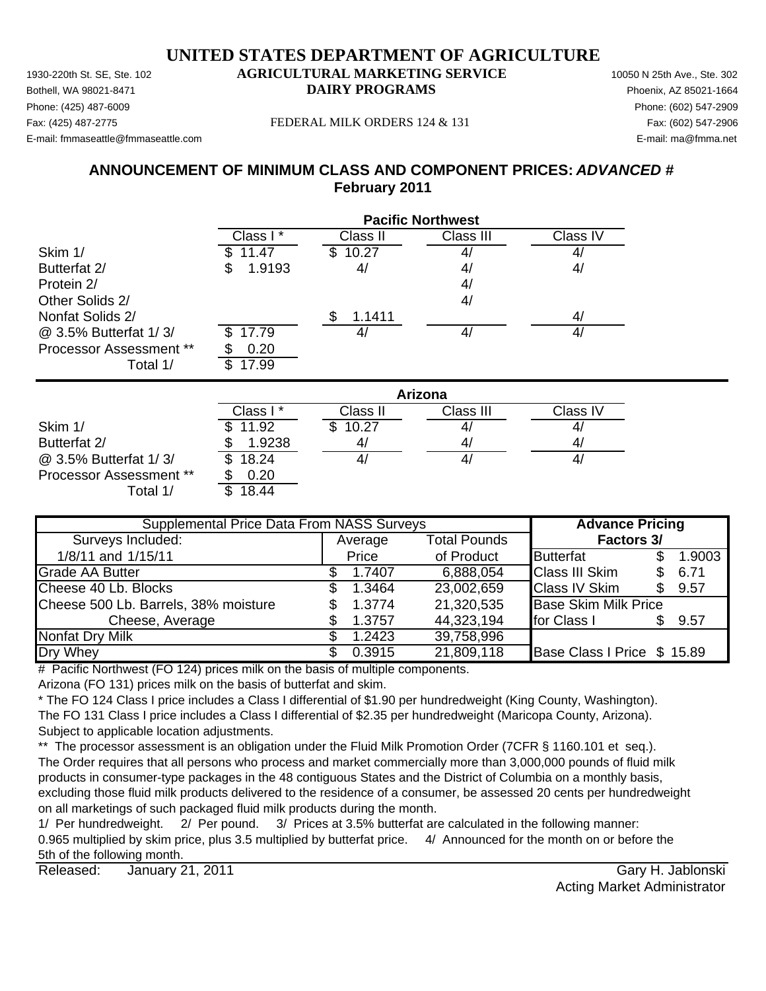Phone: (425) 487-6009 Phone: (602) 547-2909 E-mail: fmmaseattle@fmmaseattle.com E-mail: ma@fmma.net

#### Fax: (425) 487-2775 FEDERAL MILK ORDERS 124 & 131 Fax: (602) 547-2906

## **ANNOUNCEMENT OF MINIMUM CLASS AND COMPONENT PRICES:** *ADVANCED #* **February 2011**

|                                | <b>Pacific Northwest</b> |              |                |                |  |
|--------------------------------|--------------------------|--------------|----------------|----------------|--|
|                                | Class I*                 | Class II     | Class III      | Class IV       |  |
| Skim 1/                        | 11.47                    | 10.27<br>Ъ   |                | 4              |  |
| Butterfat 2/                   | 1.9193<br>S              | 4/           | 4/             | 4/             |  |
| Protein 2/                     |                          |              | 4/             |                |  |
| Other Solids 2/                |                          |              | 4/             |                |  |
| Nonfat Solids 2/               |                          | 1.1411<br>\$ |                | 4/             |  |
| @ 3.5% Butterfat 1/3/          | 17.79                    | 4/           |                | 41             |  |
| <b>Processor Assessment **</b> | 0.20                     |              |                |                |  |
| Total 1/                       | 17.99<br>\$              |              |                |                |  |
|                                |                          |              | <b>Arizona</b> |                |  |
|                                | Class I*                 | Class II     | Class III      | Class IV       |  |
| Skim 1/                        | 11.92                    | 10.27<br>Ж.  |                |                |  |
| Ruttorfot 2/                   | 1.0238<br>œ              | $\Lambda$ /  | $\Lambda$ /    | $\overline{A}$ |  |

|                                | Class I * | Class II | Class III | ⊖lass IV |
|--------------------------------|-----------|----------|-----------|----------|
| Skim 1/                        | \$11.92   | 10.27    | 4,        |          |
| Butterfat 2/                   | 1.9238    | 41       | 4         | 41       |
| @ 3.5% Butterfat 1/3/          | \$18.24   |          | 4         | 41       |
| <b>Processor Assessment **</b> | 0.20      |          |           |          |
| ⊺otal 1/                       | 18.44     |          |           |          |

| <b>Supplemental Price Data From NASS Surveys</b> | <b>Advance Pricing</b> |                     |                             |  |        |
|--------------------------------------------------|------------------------|---------------------|-----------------------------|--|--------|
| Surveys Included:                                | Average                | <b>Total Pounds</b> | Factors 3/                  |  |        |
| 1/8/11 and 1/15/11                               | Price                  | of Product          | <b>Butterfat</b>            |  | 1.9003 |
| Grade AA Butter                                  | 1.7407                 | 6,888,054           | <b>Class III Skim</b>       |  | 6.71   |
| Cheese 40 Lb. Blocks                             | 1.3464                 | 23,002,659          | <b>Class IV Skim</b>        |  | 9.57   |
| Cheese 500 Lb. Barrels, 38% moisture             | 1.3774                 | 21,320,535          | <b>Base Skim Milk Price</b> |  |        |
| Cheese, Average                                  | 1.3757                 | 44,323,194          | for Class I                 |  | 9.57   |
| <b>Nonfat Dry Milk</b>                           | 1.2423                 | 39,758,996          |                             |  |        |
| Dry Whey                                         | 0.3915                 | 21,809,118          | Base Class I Price \$ 15.89 |  |        |

# Pacific Northwest (FO 124) prices milk on the basis of multiple components.

Arizona (FO 131) prices milk on the basis of butterfat and skim.

\* The FO 124 Class I price includes a Class I differential of \$1.90 per hundredweight (King County, Washington). The FO 131 Class I price includes a Class I differential of \$2.35 per hundredweight (Maricopa County, Arizona). Subject to applicable location adjustments.

\*\* The processor assessment is an obligation under the Fluid Milk Promotion Order (7CFR § 1160.101 et seq.). The Order requires that all persons who process and market commercially more than 3,000,000 pounds of fluid milk products in consumer-type packages in the 48 contiguous States and the District of Columbia on a monthly basis, excluding those fluid milk products delivered to the residence of a consumer, be assessed 20 cents per hundredweight on all marketings of such packaged fluid milk products during the month.

1/ Per hundredweight. 2/ Per pound. 3/ Prices at 3.5% butterfat are calculated in the following manner: 0.965 multiplied by skim price, plus 3.5 multiplied by butterfat price. 4/ Announced for the month on or before the 5th of the following month.

Released: Gary H. Jablonski January 21, 2011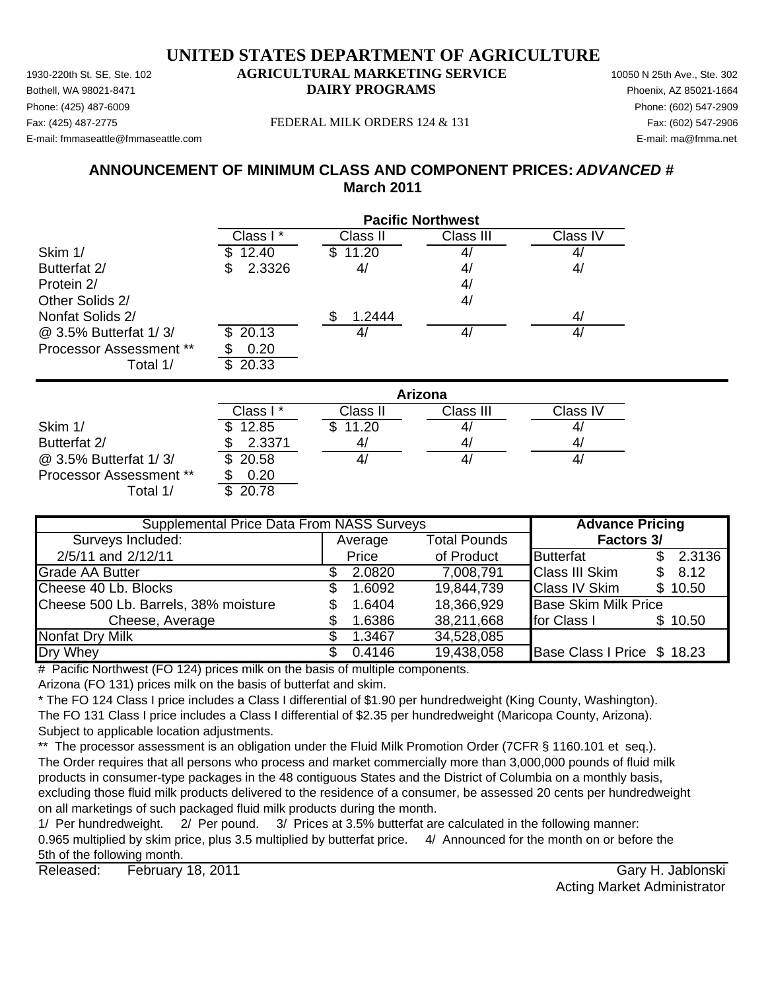Phone: (425) 487-6009 Phone: (602) 547-2909 E-mail: fmmaseattle@fmmaseattle.com E-mail: ma@fmma.net

#### Fax: (425) 487-2775 FEDERAL MILK ORDERS 124 & 131 Fax: (602) 547-2906

## **ANNOUNCEMENT OF MINIMUM CLASS AND COMPONENT PRICES:** *ADVANCED #* **March 2011**

|                                | <b>Pacific Northwest</b> |              |                |          |  |
|--------------------------------|--------------------------|--------------|----------------|----------|--|
|                                | Class I*                 | Class II     | Class III      | Class IV |  |
| Skim 1/                        | 12.40                    | 11.20<br>\$. | 4 <sub>l</sub> | 4/       |  |
| Butterfat 2/                   | 2.3326                   | 4/           | 4/             | 4/       |  |
| Protein 2/                     |                          |              | 4/             |          |  |
| Other Solids 2/                |                          |              | 4/             |          |  |
| Nonfat Solids 2/               |                          | \$<br>1.2444 |                | 4/       |  |
| @ 3.5% Butterfat 1/3/          | 20.13<br>S.              | 4/           | 4/             | 4/       |  |
| <b>Processor Assessment **</b> | 0.20                     |              |                |          |  |
| Total 1/                       | 20.33<br>\$.             |              |                |          |  |
|                                |                          |              | Arizona        |          |  |
|                                | Class I*                 | Class II     | Class III      | Class IV |  |
| Skim 1/                        | 12.85                    | \$.<br>11.20 | 4              | 4/       |  |
| Butterfat 2/                   | 2.3371                   | 4/           | 4/             | 4/       |  |

 $\omega$  3.5% Butterfat 1/3/  $\sqrt{3}$  20.58  $\sqrt{4/14}$  4/  $\sqrt{4/14}$  4/ Processor Assessment \*\* \$ 0.20 Total  $1/$   $\overline{\phantom{1}3.20.78}$ 

Average Total Pounds 2/5/11 and 2/12/11 **Definition Following Contract Product** Butterfat 5 2.3136 Grade AA Butter **2.0820 3.0820 7,008,791** Class III Skim \$ 8.12 Cheese 40 Lb. Blocks \$ 1.6092 19,844,739 Class IV Skim \$ 10.50 Cheese 500 Lb. Barrels, 38% moisture  $\qquad \qquad$  \$ 1.6404 18,366,929 Base Skim Milk Price Cheese, Average **1.6386** 38,211,668 for Class 1 \$ 10.50 Nonfat Dry Milk  $$ 1.3467 34.528.085$ Dry Whey **6.4146 5.4146 19,438,058 Base Class I Price \$18.23 Supplemental Price Data From NASS Surveys The Advance Pricing** Surveys Included: **Factors 3/**

# Pacific Northwest (FO 124) prices milk on the basis of multiple components.

Arizona (FO 131) prices milk on the basis of butterfat and skim.

\* The FO 124 Class I price includes a Class I differential of \$1.90 per hundredweight (King County, Washington). The FO 131 Class I price includes a Class I differential of \$2.35 per hundredweight (Maricopa County, Arizona). Subject to applicable location adjustments.

\*\* The processor assessment is an obligation under the Fluid Milk Promotion Order (7CFR § 1160.101 et seq.). The Order requires that all persons who process and market commercially more than 3,000,000 pounds of fluid milk products in consumer-type packages in the 48 contiguous States and the District of Columbia on a monthly basis, excluding those fluid milk products delivered to the residence of a consumer, be assessed 20 cents per hundredweight on all marketings of such packaged fluid milk products during the month.

1/ Per hundredweight. 2/ Per pound. 3/ Prices at 3.5% butterfat are calculated in the following manner: 0.965 multiplied by skim price, plus 3.5 multiplied by butterfat price. 4/ Announced for the month on or before the 5th of the following month.

Released: Gary H. Jablonski February 18, 2011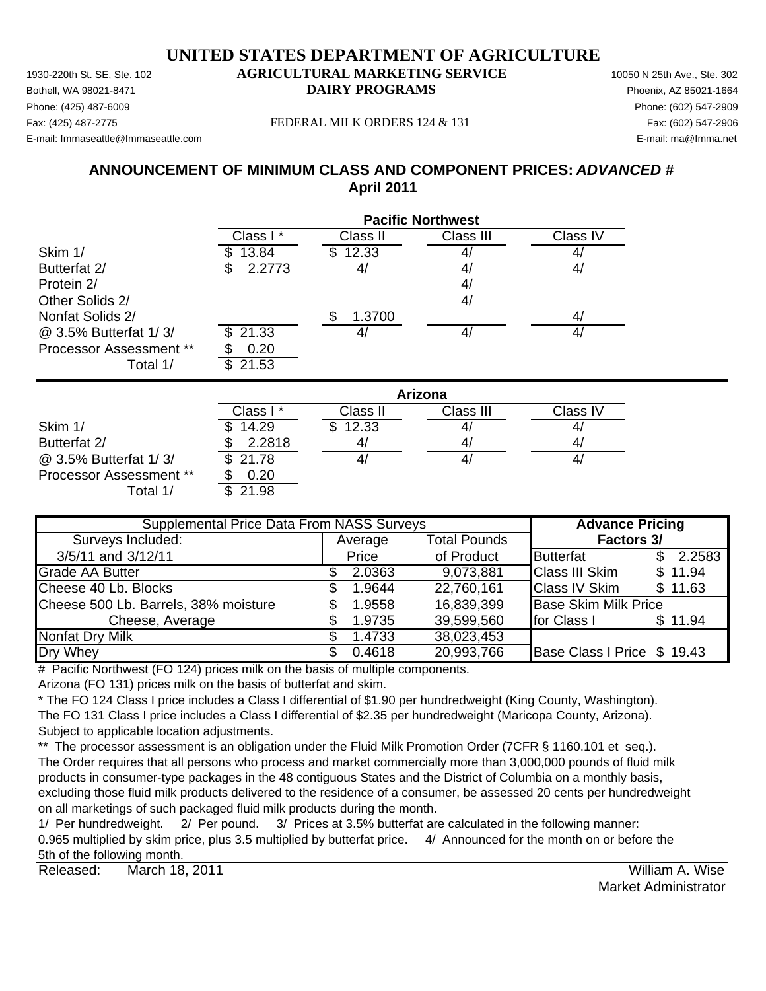Phone: (425) 487-6009 Phone: (602) 547-2909 E-mail: fmmaseattle@fmmaseattle.com E-mail: ma@fmma.net

#### Fax: (425) 487-2775 FEDERAL MILK ORDERS 124 & 131 Fax: (602) 547-2906

**ANNOUNCEMENT OF MINIMUM CLASS AND COMPONENT PRICES:** *ADVANCED #* **April 2011**

|                                | <b>Pacific Northwest</b> |               |           |                   |  |
|--------------------------------|--------------------------|---------------|-----------|-------------------|--|
|                                | Class I *                | Class II      | Class III | Class IV          |  |
| Skim 1/                        | 13.84<br>S.              | 12.33<br>\$   | 4,        | $\mathcal{A}_{l}$ |  |
| Butterfat 2/                   | 2.2773<br>S              | 4/            | 4/        | 4,                |  |
| Protein 2/                     |                          |               | 4/        |                   |  |
| Other Solids 2/                |                          |               | 4/        |                   |  |
| Nonfat Solids 2/               |                          | 1.3700<br>\$. |           | 4 <sub>l</sub>    |  |
| @ 3.5% Butterfat 1/3/          | 21.33<br>\$              | 4/            | 4/        | 4/                |  |
| <b>Processor Assessment **</b> | 0.20                     |               |           |                   |  |
| Total 1/                       | \$<br>21.53              |               |           |                   |  |
|                                | Arizona                  |               |           |                   |  |
|                                | Class I*                 | Class II      | Class III | Class IV          |  |

|                                | //////// |          |           |          |  |  |
|--------------------------------|----------|----------|-----------|----------|--|--|
|                                | Class I* | Class II | Class III | Class IV |  |  |
| Skim 1/                        | 14.29    | \$12.33  |           |          |  |  |
| Butterfat 2/                   | 2.2818   | 4,       | 4,        | 4,       |  |  |
| @ 3.5% Butterfat 1/3/          | \$21.78  |          | 4,        |          |  |  |
| <b>Processor Assessment **</b> | 0.20     |          |           |          |  |  |
| /1 ctal                        | 21.98    |          |           |          |  |  |

| <b>Supplemental Price Data From NASS Surveys</b> | <b>Advance Pricing</b> |         |                     |                             |              |
|--------------------------------------------------|------------------------|---------|---------------------|-----------------------------|--------------|
| Surveys Included:                                |                        | Average | <b>Total Pounds</b> | <b>Factors 3/</b>           |              |
| 3/5/11 and 3/12/11                               |                        | Price   | of Product          | <b>Butterfat</b>            | 2.2583<br>\$ |
| <b>Grade AA Butter</b>                           |                        | 2.0363  | 9,073,881           | <b>Class III Skim</b>       | \$11.94      |
| Cheese 40 Lb. Blocks                             | SS.                    | 1.9644  | 22,760,161          | <b>Class IV Skim</b>        | \$11.63      |
| Cheese 500 Lb. Barrels, 38% moisture             |                        | 1.9558  | 16,839,399          | <b>Base Skim Milk Price</b> |              |
| Cheese, Average                                  |                        | 1.9735  | 39,599,560          | for Class I                 | \$11.94      |
| Nonfat Dry Milk                                  |                        | 1.4733  | 38,023,453          |                             |              |
| Dry Whey                                         |                        | 0.4618  | 20,993,766          | Base Class I Price \$ 19.43 |              |

 $#$  Pacific Northwest (FO 124) prices milk on the basis of multiple components.

Arizona (FO 131) prices milk on the basis of butterfat and skim.

\* The FO 124 Class I price includes a Class I differential of \$1.90 per hundredweight (King County, Washington). The FO 131 Class I price includes a Class I differential of \$2.35 per hundredweight (Maricopa County, Arizona). Subject to applicable location adjustments.

\*\* The processor assessment is an obligation under the Fluid Milk Promotion Order (7CFR § 1160.101 et seq.). The Order requires that all persons who process and market commercially more than 3,000,000 pounds of fluid milk products in consumer-type packages in the 48 contiguous States and the District of Columbia on a monthly basis, excluding those fluid milk products delivered to the residence of a consumer, be assessed 20 cents per hundredweight on all marketings of such packaged fluid milk products during the month.

1/ Per hundredweight. 2/ Per pound. 3/ Prices at 3.5% butterfat are calculated in the following manner: 0.965 multiplied by skim price, plus 3.5 multiplied by butterfat price. 4/ Announced for the month on or before the 5th of the following month.

Released: William A. Wise March 18, 2011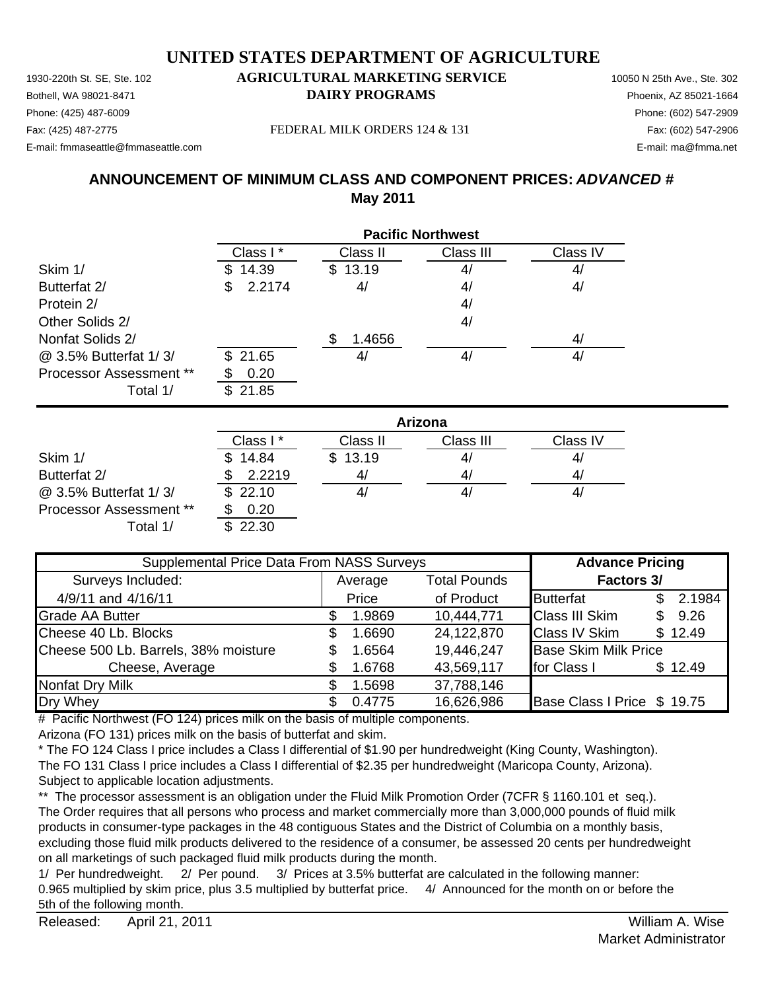## **UNITED STATES DEPARTMENT OF AGRICULTURE**

1930-220th St. SE, Ste. 102 **AGRICULTURAL MARKETING SERVICE** 10050 N 25th Ave., Ste. 302 Phone: (425) 487-6009 Phone: (602) 547-2909 E-mail: fmmaseattle@fmmaseattle.com E-mail: ma@fmma.net

# Bothell, WA 98021-8471 **DAIRY PROGRAMS** Phoenix, AZ 85021-1664

Fax: (425) 487-2775 Fax: (602) 547-2906 FEDERAL MILK ORDERS 124 & 131

## **ANNOUNCEMENT OF MINIMUM CLASS AND COMPONENT PRICES:** *ADVANCED #* **May 2011**

|                         | <b>Pacific Northwest</b> |                |           |          |  |
|-------------------------|--------------------------|----------------|-----------|----------|--|
|                         | Class I*                 | Class II       | Class III | Class IV |  |
| Skim 1/                 | 14.39<br>S.              | \$13.19        | 4/        | 4/       |  |
| Butterfat 2/            | 2.2174<br>\$             | 4/             | 4/        | 4/       |  |
| Protein 2/              |                          |                | 4/        |          |  |
| Other Solids 2/         |                          |                | 4/        |          |  |
| Nonfat Solids 2/        |                          | 1.4656         |           | 4/       |  |
| @ 3.5% Butterfat 1/3/   | \$21.65                  | 4 <sub>i</sub> | 4/        | 4/       |  |
| Processor Assessment ** | 0.20                     |                |           |          |  |
| Total 1/                | 21.85<br>\$.             |                |           |          |  |

|                         | Arizona  |          |           |          |  |
|-------------------------|----------|----------|-----------|----------|--|
|                         | Class I* | Class II | Class III | Class IV |  |
| Skim 1/                 | \$14.84  | \$13.19  | 41        | 4,       |  |
| Butterfat 2/            | 2.2219   | 4,       | 41        | 4/       |  |
| @ 3.5% Butterfat 1/3/   | \$22.10  |          | 41        | 4,       |  |
| Processor Assessment ** | 0.20     |          |           |          |  |
| Total 1/                | \$22.30  |          |           |          |  |

| Supplemental Price Data From NASS Surveys |                                |        |            | <b>Advance Pricing</b>      |                   |         |  |
|-------------------------------------------|--------------------------------|--------|------------|-----------------------------|-------------------|---------|--|
| Surveys Included:                         | <b>Total Pounds</b><br>Average |        |            |                             | <b>Factors 3/</b> |         |  |
| 4/9/11 and 4/16/11                        | Price                          |        | of Product | <b>Butterfat</b>            |                   | 2.1984  |  |
| <b>Grade AA Butter</b>                    |                                | 1.9869 | 10,444,771 | <b>Class III Skim</b>       | \$.               | 9.26    |  |
| Cheese 40 Lb. Blocks                      | S.                             | 1.6690 | 24,122,870 | <b>Class IV Skim</b>        |                   | \$12.49 |  |
| Cheese 500 Lb. Barrels, 38% moisture      | S                              | 1.6564 | 19,446,247 | <b>Base Skim Milk Price</b> |                   |         |  |
| Cheese, Average                           |                                | 1.6768 | 43,569,117 | for Class I                 |                   | \$12.49 |  |
| Nonfat Dry Milk                           |                                | 1.5698 | 37,788,146 |                             |                   |         |  |
| Dry Whey                                  |                                | 0.4775 | 16,626,986 | Base Class I Price \$ 19.75 |                   |         |  |

# Pacific Northwest (FO 124) prices milk on the basis of multiple components.

Arizona (FO 131) prices milk on the basis of butterfat and skim.

\* The FO 124 Class I price includes a Class I differential of \$1.90 per hundredweight (King County, Washington). The FO 131 Class I price includes a Class I differential of \$2.35 per hundredweight (Maricopa County, Arizona). Subject to applicable location adjustments.

\*\* The processor assessment is an obligation under the Fluid Milk Promotion Order (7CFR § 1160.101 et seq.). The Order requires that all persons who process and market commercially more than 3,000,000 pounds of fluid milk products in consumer-type packages in the 48 contiguous States and the District of Columbia on a monthly basis, excluding those fluid milk products delivered to the residence of a consumer, be assessed 20 cents per hundredweight on all marketings of such packaged fluid milk products during the month.

1/ Per hundredweight. 2/ Per pound. 3/ Prices at 3.5% butterfat are calculated in the following manner: 0.965 multiplied by skim price, plus 3.5 multiplied by butterfat price. 4/ Announced for the month on or before the 5th of the following month.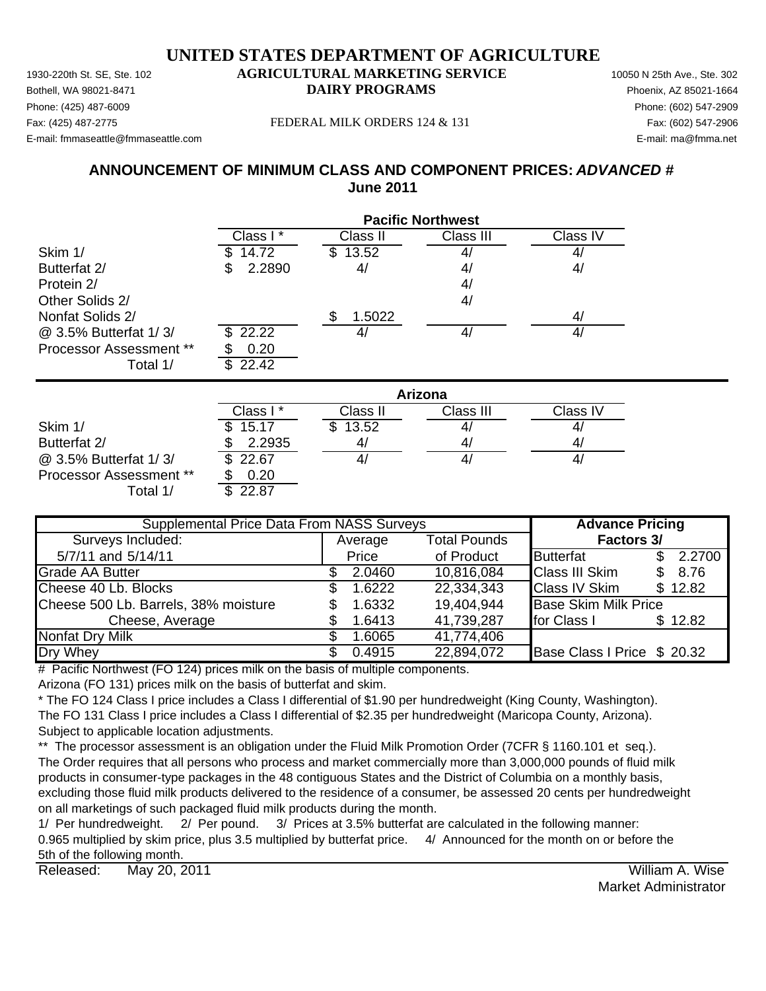Phone: (425) 487-6009 Phone: (602) 547-2909 E-mail: fmmaseattle@fmmaseattle.com E-mail: ma@fmma.net

#### Fax: (425) 487-2775 FEDERAL MILK ORDERS 124 & 131 Fax: (602) 547-2906

## **ANNOUNCEMENT OF MINIMUM CLASS AND COMPONENT PRICES:** *ADVANCED #* **June 2011**

|                                | <b>Pacific Northwest</b> |                |                |                |  |  |
|--------------------------------|--------------------------|----------------|----------------|----------------|--|--|
|                                | Class I*                 | Class II       | Class III      | Class IV       |  |  |
| Skim 1/                        | 14.72                    | \$13.52        | 4              | 4/             |  |  |
| Butterfat 2/                   | 2.2890<br>\$             | 4/             | 4 <sub>l</sub> | 4/             |  |  |
| Protein 2/                     |                          |                | 4 <sub>l</sub> |                |  |  |
| Other Solids 2/                |                          |                | 4/             |                |  |  |
| Nonfat Solids 2/               |                          | 1.5022<br>\$   |                | 4/             |  |  |
| @ 3.5% Butterfat 1/3/          | \$22.22                  | 4/             | 4/             | 4/             |  |  |
| <b>Processor Assessment **</b> | 0.20                     |                |                |                |  |  |
| Total 1/                       | 22.42<br>\$              |                |                |                |  |  |
|                                |                          |                | <b>Arizona</b> |                |  |  |
|                                | Class I*                 | Class II       | Class III      | Class IV       |  |  |
| Skim 1/                        | 15.17<br>S               | 13.52<br>\$.   | 4,             | 4/             |  |  |
| $D.$ $H = H + Q$               | 0.0005                   | $\overline{ }$ | $\overline{ }$ | $\overline{ }$ |  |  |

|                                | UldSS I | Uidss II | UldSS III | Giass TV |
|--------------------------------|---------|----------|-----------|----------|
| Skim 1/                        | \$15.17 | 13.52    | 4,        |          |
| Butterfat 2/                   | 2.2935  | 4,       | 4,        |          |
| @ 3.5% Butterfat 1/3/          | 22.67   | 4.       | 4,        |          |
| <b>Processor Assessment **</b> | 0.20    |          |           |          |
| ™otal 1/                       |         |          |           |          |

| <b>Supplemental Price Data From NASS Surveys</b> |  |                                |            | <b>Advance Pricing</b>      |     |         |
|--------------------------------------------------|--|--------------------------------|------------|-----------------------------|-----|---------|
| Surveys Included:                                |  | <b>Total Pounds</b><br>Average |            | Factors 3/                  |     |         |
| 5/7/11 and 5/14/11                               |  | Price                          | of Product | <b>Butterfat</b>            |     | 2.2700  |
| Grade AA Butter                                  |  | 2.0460                         | 10,816,084 | <b>Class III Skim</b>       | \$. | 8.76    |
| Cheese 40 Lb. Blocks                             |  | 1.6222                         | 22,334,343 | <b>Class IV Skim</b>        |     | \$12.82 |
| Cheese 500 Lb. Barrels, 38% moisture             |  | 1.6332                         | 19,404,944 | <b>Base Skim Milk Price</b> |     |         |
| Cheese, Average                                  |  | 1.6413                         | 41,739,287 | for Class I                 |     | \$12.82 |
| <b>Nonfat Dry Milk</b>                           |  | 1.6065                         | 41,774,406 |                             |     |         |
| Dry Whey                                         |  | 0.4915                         | 22,894,072 | Base Class I Price \$ 20.32 |     |         |

# Pacific Northwest (FO 124) prices milk on the basis of multiple components.

Arizona (FO 131) prices milk on the basis of butterfat and skim.

\* The FO 124 Class I price includes a Class I differential of \$1.90 per hundredweight (King County, Washington). The FO 131 Class I price includes a Class I differential of \$2.35 per hundredweight (Maricopa County, Arizona). Subject to applicable location adjustments.

\*\* The processor assessment is an obligation under the Fluid Milk Promotion Order (7CFR § 1160.101 et seq.). The Order requires that all persons who process and market commercially more than 3,000,000 pounds of fluid milk products in consumer-type packages in the 48 contiguous States and the District of Columbia on a monthly basis, excluding those fluid milk products delivered to the residence of a consumer, be assessed 20 cents per hundredweight on all marketings of such packaged fluid milk products during the month.

1/ Per hundredweight. 2/ Per pound. 3/ Prices at 3.5% butterfat are calculated in the following manner: 0.965 multiplied by skim price, plus 3.5 multiplied by butterfat price. 4/ Announced for the month on or before the 5th of the following month.

Released: William A. Wise May 20, 2011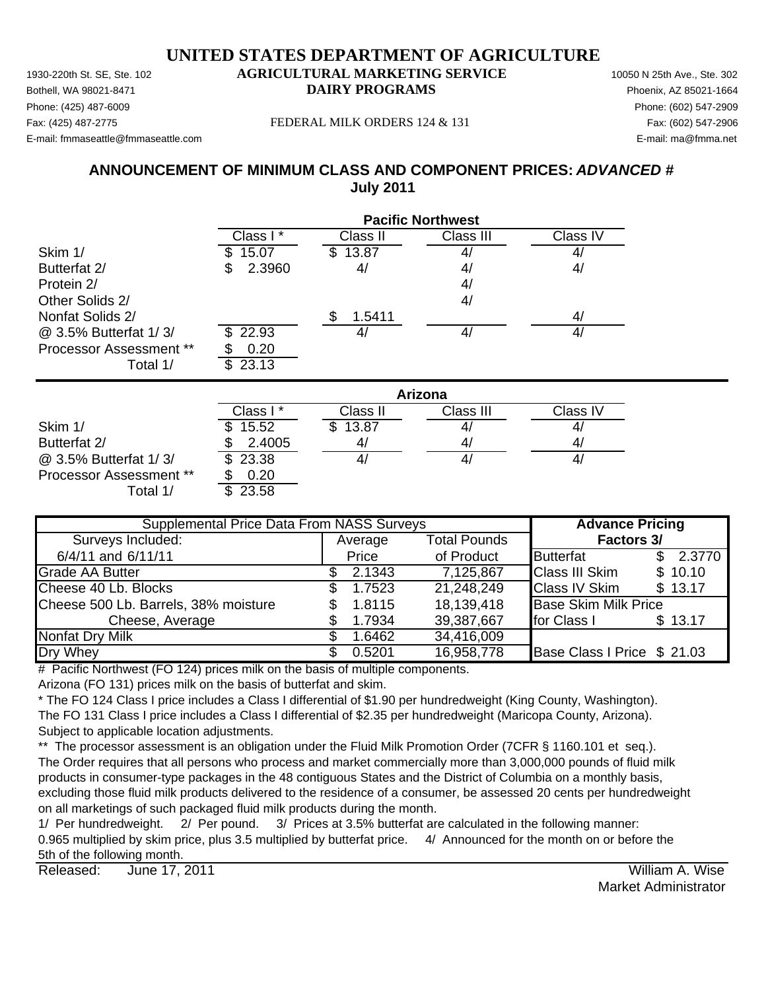Phone: (425) 487-6009 Phone: (602) 547-2909 E-mail: fmmaseattle@fmmaseattle.com E-mail: ma@fmma.net

#### Fax: (425) 487-2775 FEDERAL MILK ORDERS 124 & 131 Fax: (602) 547-2906

## **ANNOUNCEMENT OF MINIMUM CLASS AND COMPONENT PRICES:** *ADVANCED #* **July 2011**

|                         | <b>Pacific Northwest</b> |              |                |          |  |  |
|-------------------------|--------------------------|--------------|----------------|----------|--|--|
|                         | Class I*                 | Class II     | Class III      | Class IV |  |  |
| Skim 1/                 | 15.07                    | 13.87<br>S.  | 4,             | 4/       |  |  |
| Butterfat 2/            | 2.3960<br>S              | 4/           | 4/             | 4/       |  |  |
| Protein 2/              |                          |              | 4/             |          |  |  |
| Other Solids 2/         |                          |              | 4/             |          |  |  |
| Nonfat Solids 2/        |                          | 1.5411<br>S  |                | 4/       |  |  |
| @ 3.5% Butterfat 1/3/   | 22.93<br>SS.             | 4/           | 4/             | 4/       |  |  |
| Processor Assessment ** | 0.20                     |              |                |          |  |  |
| Total 1/                | 23.13<br>\$              |              |                |          |  |  |
|                         |                          |              | <b>Arizona</b> |          |  |  |
|                         | Class I*                 | Class II     | Class III      | Class IV |  |  |
| Skim 1/                 | 15.52<br>\$              | 13.87<br>\$. | 4/             | 4/       |  |  |
| Butterfat 2/            | 2.4005                   | 4/           | 4/             | 4/       |  |  |

@ 3.5% Butterfat 1/ 3/ 23.38 \$ 4/ 4/ 4/ Processor Assessment \*\* \$ 0.20 Total  $1/$   $\overline{\$}$  23.58

| <b>Supplemental Price Data From NASS Surveys</b> |                                |        |            | <b>Advance Pricing</b>      |          |  |            |
|--------------------------------------------------|--------------------------------|--------|------------|-----------------------------|----------|--|------------|
| Surveys Included:                                | <b>Total Pounds</b><br>Average |        |            |                             |          |  | Factors 3/ |
| 6/4/11 and 6/11/11                               |                                | Price  | of Product | <b>Butterfat</b>            | \$2.3770 |  |            |
| <b>Grade AA Butter</b>                           |                                | 2.1343 | 7,125,867  | <b>Class III Skim</b>       | \$10.10  |  |            |
| Cheese 40 Lb. Blocks                             | \$.                            | 1.7523 | 21,248,249 | <b>Class IV Skim</b>        | \$13.17  |  |            |
| Cheese 500 Lb. Barrels, 38% moisture             |                                | 1.8115 | 18,139,418 | <b>Base Skim Milk Price</b> |          |  |            |
| Cheese, Average                                  |                                | 1.7934 | 39,387,667 | for Class I                 | \$13.17  |  |            |
| Nonfat Dry Milk                                  |                                | 1.6462 | 34,416,009 |                             |          |  |            |
| Dry Whey                                         |                                | 0.5201 | 16,958,778 | Base Class I Price \$ 21.03 |          |  |            |

 $#$  Pacific Northwest (FO 124) prices milk on the basis of multiple components.

Arizona (FO 131) prices milk on the basis of butterfat and skim.

\* The FO 124 Class I price includes a Class I differential of \$1.90 per hundredweight (King County, Washington). The FO 131 Class I price includes a Class I differential of \$2.35 per hundredweight (Maricopa County, Arizona). Subject to applicable location adjustments.

\*\* The processor assessment is an obligation under the Fluid Milk Promotion Order (7CFR § 1160.101 et seq.). The Order requires that all persons who process and market commercially more than 3,000,000 pounds of fluid milk products in consumer-type packages in the 48 contiguous States and the District of Columbia on a monthly basis, excluding those fluid milk products delivered to the residence of a consumer, be assessed 20 cents per hundredweight on all marketings of such packaged fluid milk products during the month.

1/ Per hundredweight. 2/ Per pound. 3/ Prices at 3.5% butterfat are calculated in the following manner: 0.965 multiplied by skim price, plus 3.5 multiplied by butterfat price. 4/ Announced for the month on or before the 5th of the following month.

Released: William A. Wise June 17, 2011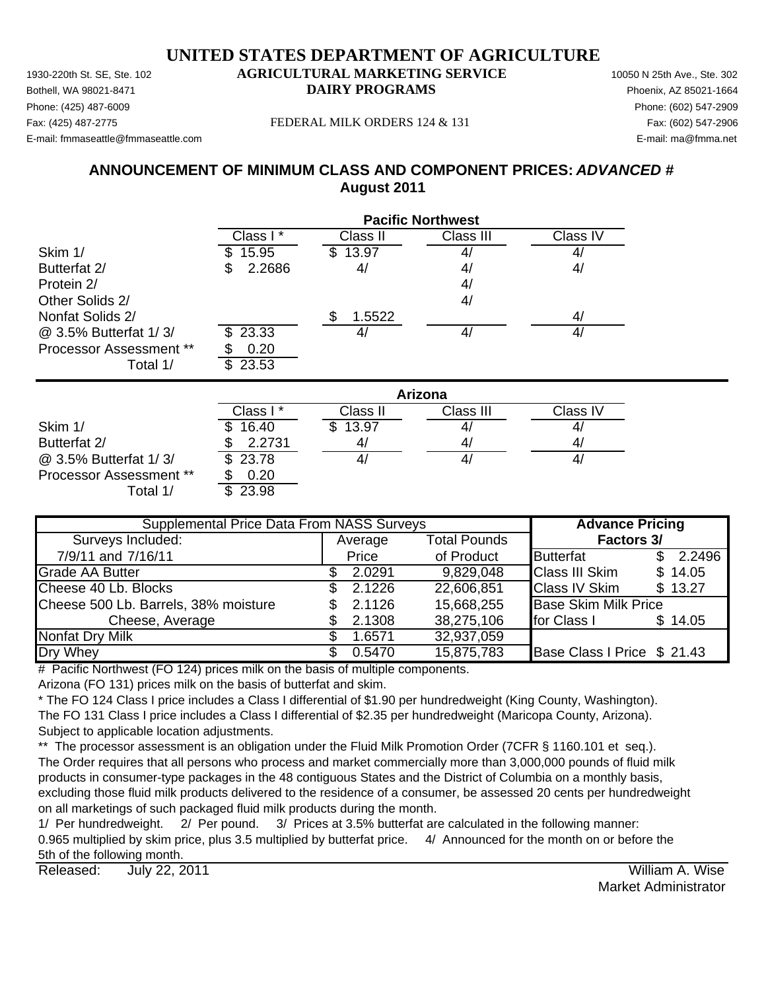Phone: (425) 487-6009 Phone: (602) 547-2909 E-mail: fmmaseattle@fmmaseattle.com E-mail: ma@fmma.net

#### Fax: (425) 487-2775 FEDERAL MILK ORDERS 124 & 131 Fax: (602) 547-2906

## **ANNOUNCEMENT OF MINIMUM CLASS AND COMPONENT PRICES:** *ADVANCED #* **August 2011**

|                                | <b>Pacific Northwest</b> |              |                   |          |  |  |
|--------------------------------|--------------------------|--------------|-------------------|----------|--|--|
|                                | Class I*                 | Class II     | Class III         | Class IV |  |  |
| Skim 1/                        | 15.95<br>\$              | \$13.97      | $\mathcal{A}_{l}$ | 4/       |  |  |
| Butterfat 2/                   | 2.2686<br>S              | 4/           | 4/                | 4/       |  |  |
| Protein 2/                     |                          |              | 4/                |          |  |  |
| Other Solids 2/                |                          |              | 4/                |          |  |  |
| Nonfat Solids 2/               |                          | 1.5522<br>\$ |                   | 4/       |  |  |
| @ 3.5% Butterfat 1/3/          | 23.33<br>\$.             | 4/           | 4/                | 4/       |  |  |
| <b>Processor Assessment **</b> | 0.20                     |              |                   |          |  |  |
| Total 1/                       | \$<br>23.53              |              |                   |          |  |  |
|                                |                          |              | Arizona           |          |  |  |
|                                | Class I*                 | Class II     | Class III         | Class IV |  |  |
| Skim 1/                        | 16.40                    | \$13.97      | $\mathcal{A}_{l}$ | 4/       |  |  |
| Butterfat 2/                   | 2.2731                   | 4/           | 4/                | 4/       |  |  |
| @ 3.5% Butterfat 1/3/          | 23.78<br>\$              | 4/           | 4 <sub>l</sub>    | 4/       |  |  |

Processor Assessment \*\* \$ 0.20

Total  $1/$   $\overline{\phantom{1}3.23.98}$ 

| <b>Supplemental Price Data From NASS Surveys</b> |     |         |                     | <b>Advance Pricing</b>           |  |  |
|--------------------------------------------------|-----|---------|---------------------|----------------------------------|--|--|
| Surveys Included:                                |     | Average | <b>Total Pounds</b> | Factors 3/                       |  |  |
| 7/9/11 and 7/16/11                               |     | Price   | of Product          | Butterfat<br>2.2496<br>SS.       |  |  |
| <b>Grade AA Butter</b>                           |     | 2.0291  | 9,829,048           | <b>Class III Skim</b><br>\$14.05 |  |  |
| Cheese 40 Lb. Blocks                             | SS. | 2.1226  | 22,606,851          | <b>Class IV Skim</b><br>\$13.27  |  |  |
| Cheese 500 Lb. Barrels, 38% moisture             |     | 2.1126  | 15,668,255          | <b>Base Skim Milk Price</b>      |  |  |
| Cheese, Average                                  |     | 2.1308  | 38,275,106          | for Class I<br>\$14.05           |  |  |
| Nonfat Dry Milk                                  |     | 1.6571  | 32,937,059          |                                  |  |  |
| Dry Whey                                         |     | 0.5470  | 15,875,783          | Base Class I Price \$ 21.43      |  |  |

# Pacific Northwest (FO 124) prices milk on the basis of multiple components.

Arizona (FO 131) prices milk on the basis of butterfat and skim.

\* The FO 124 Class I price includes a Class I differential of \$1.90 per hundredweight (King County, Washington). The FO 131 Class I price includes a Class I differential of \$2.35 per hundredweight (Maricopa County, Arizona). Subject to applicable location adjustments.

\*\* The processor assessment is an obligation under the Fluid Milk Promotion Order (7CFR § 1160.101 et seq.). The Order requires that all persons who process and market commercially more than 3,000,000 pounds of fluid milk products in consumer-type packages in the 48 contiguous States and the District of Columbia on a monthly basis, excluding those fluid milk products delivered to the residence of a consumer, be assessed 20 cents per hundredweight on all marketings of such packaged fluid milk products during the month.

1/ Per hundredweight. 2/ Per pound. 3/ Prices at 3.5% butterfat are calculated in the following manner: 0.965 multiplied by skim price, plus 3.5 multiplied by butterfat price. 4/ Announced for the month on or before the 5th of the following month.

Released: July 22, 2011 **No. 2018 Released:** William A. Wise July 22, 2011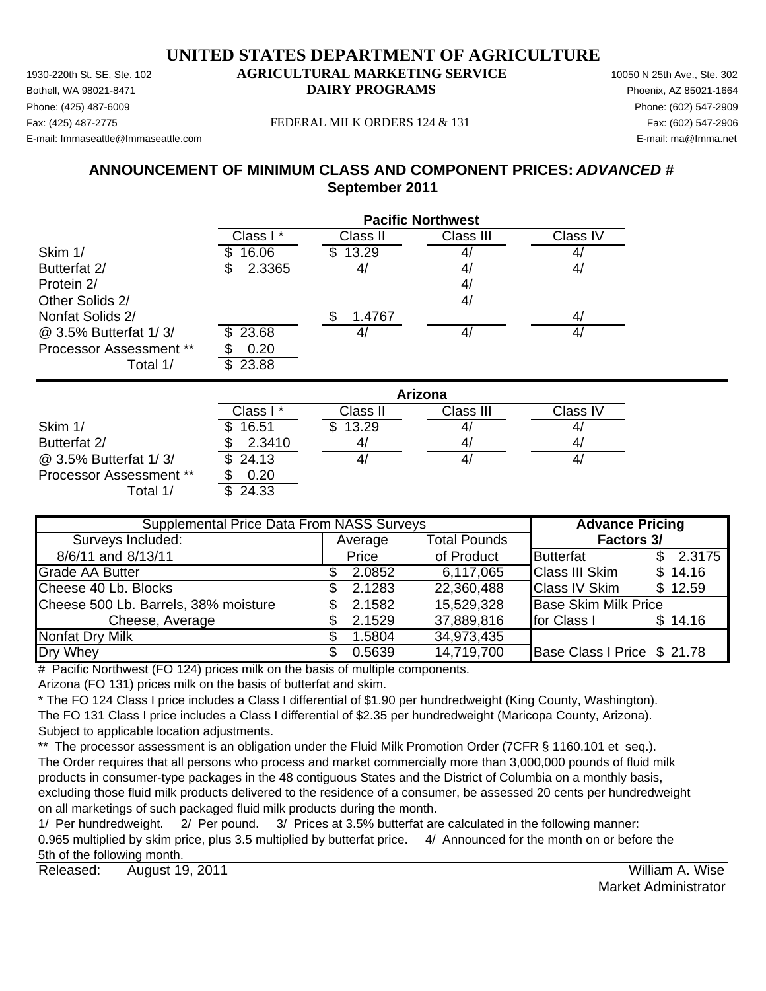Phone: (425) 487-6009 Phone: (602) 547-2909 E-mail: fmmaseattle@fmmaseattle.com E-mail: ma@fmma.net

#### Fax: (425) 487-2775 FEDERAL MILK ORDERS 124 & 131 Fax: (602) 547-2906

## **ANNOUNCEMENT OF MINIMUM CLASS AND COMPONENT PRICES:** *ADVANCED #* **September 2011**

|                         | <b>Pacific Northwest</b> |              |                |          |  |  |
|-------------------------|--------------------------|--------------|----------------|----------|--|--|
|                         | Class I*                 | Class II     | Class III      | Class IV |  |  |
| Skim 1/                 | 16.06<br>\$              | \$13.29      | 4,             | 41       |  |  |
| Butterfat 2/            | 2.3365                   | 4/           | 4/             | 4/       |  |  |
| Protein 2/              |                          |              | 4/             |          |  |  |
| Other Solids 2/         |                          |              | 4/             |          |  |  |
| Nonfat Solids 2/        |                          | \$<br>1.4767 |                | 4/       |  |  |
| @ 3.5% Butterfat 1/3/   | 23.68<br>S               | 4/           | 4/             | 4/       |  |  |
| Processor Assessment ** | 0.20                     |              |                |          |  |  |
| Total 1/                | 23.88<br>\$              |              |                |          |  |  |
|                         |                          |              | <b>Arizona</b> |          |  |  |
|                         | Class I*                 | Class II     | Class III      | Class IV |  |  |
| Skim 1/                 | 16.51                    | 13.29<br>\$. | 4              | 4/       |  |  |
| Butterfat 2/            | 2.3410                   | 4/           | 4/             | 4/       |  |  |
| @ 3.5% Butterfat 1/3/   | 24.13<br>\$.             | 4/           | 4/             | 4/       |  |  |

Processor Assessment \*\* \$ 0.20 Total  $1/$   $\overline{\$}$  24.33

Average Total Pounds 8/6/11 and 8/13/11 **Butterfat** 1 and 8/13/11 **Butterfat** 1 and 8/13/11 Grade AA Butter **2.0852 6,117,065** Class III Skim \$ 14.16 Cheese 40 Lb. Blocks \$ 2.1283 22,360,488 Class IV Skim \$ 12.59 Cheese 500 Lb. Barrels, 38% moisture  $\qquad \qquad$  \$ 2.1582 15,529,328 Base Skim Milk Price Cheese, Average 37,889,816 for Class 1 \$ 14.16 Nonfat Dry Milk  $$ 1.5804$  34,973,435 Dry Whey **6.5639 14,719,700** Base Class I Price \$ 21.78 **Supplemental Price Data From NASS Surveys The Advance Pricing** Surveys Included: **Factors 3/**

# Pacific Northwest (FO 124) prices milk on the basis of multiple components.

Arizona (FO 131) prices milk on the basis of butterfat and skim.

\* The FO 124 Class I price includes a Class I differential of \$1.90 per hundredweight (King County, Washington). The FO 131 Class I price includes a Class I differential of \$2.35 per hundredweight (Maricopa County, Arizona). Subject to applicable location adjustments.

\*\* The processor assessment is an obligation under the Fluid Milk Promotion Order (7CFR § 1160.101 et seq.). The Order requires that all persons who process and market commercially more than 3,000,000 pounds of fluid milk products in consumer-type packages in the 48 contiguous States and the District of Columbia on a monthly basis, excluding those fluid milk products delivered to the residence of a consumer, be assessed 20 cents per hundredweight on all marketings of such packaged fluid milk products during the month.

1/ Per hundredweight. 2/ Per pound. 3/ Prices at 3.5% butterfat are calculated in the following manner: 0.965 multiplied by skim price, plus 3.5 multiplied by butterfat price. 4/ Announced for the month on or before the 5th of the following month.

Released: William A. Wise August 19, 2011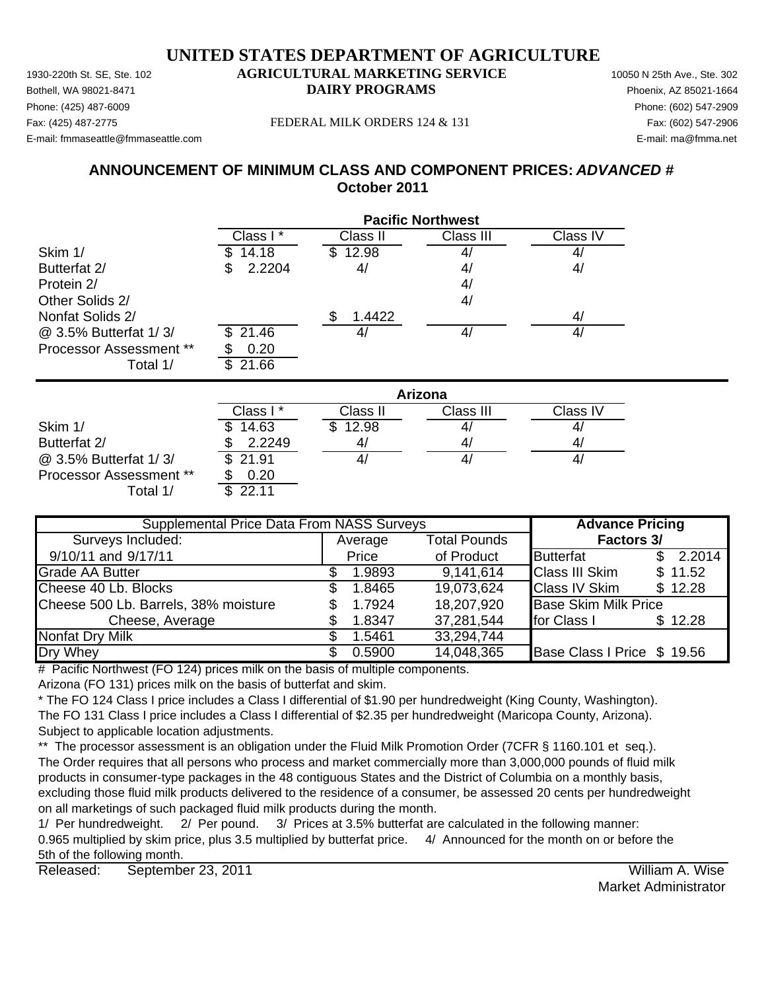Phone: (425) 487-6009 Phone: (602) 547-2909 E-mail: fmmaseattle@fmmaseattle.com E-mail: ma@fmma.net

#### Fax: (425) 487-2775 FEDERAL MILK ORDERS 124 & 131 Fax: (602) 547-2906

## **ANNOUNCEMENT OF MINIMUM CLASS AND COMPONENT PRICES:** *ADVANCED #* **October 2011**

|                                | <b>Pacific Northwest</b> |              |           |          |  |  |
|--------------------------------|--------------------------|--------------|-----------|----------|--|--|
|                                | Class I*                 | Class II     | Class III | Class IV |  |  |
| Skim 1/                        | 14.18                    | 12.98<br>SS. |           | 4        |  |  |
| Butterfat 2/                   | 2.2204<br>\$             | 4/           | 4/        | 4/       |  |  |
| Protein 2/                     |                          |              | 4/        |          |  |  |
| Other Solids 2/                |                          |              | 4/        |          |  |  |
| Nonfat Solids 2/               |                          | 1.4422<br>\$ |           | 4/       |  |  |
| @ 3.5% Butterfat 1/3/          | 21.46<br>\$.             | 4/           | 4/        | 4/       |  |  |
| <b>Processor Assessment **</b> | 0.20                     |              |           |          |  |  |
| Total 1/                       | 21.66<br>\$              |              |           |          |  |  |
|                                | <b>Arizona</b>           |              |           |          |  |  |
|                                | Class I*                 | Class II     | Class III | Class IV |  |  |
| Skim 1/                        | 14.63<br>\$              | 12.98<br>S   |           | 4/       |  |  |

|                                | Class I *    | Class II | Class III | Class IV |
|--------------------------------|--------------|----------|-----------|----------|
| Skim 1/                        | 14.63<br>\$. | \$12.98  | 4,        | 4        |
| Butterfat 2/                   | 2.2249       |          | 4,        | 4        |
| @ 3.5% Butterfat 1/3/          | \$21.91      |          | 4,        |          |
| <b>Processor Assessment **</b> | 0.20         |          |           |          |
| ⊺otal 1/                       |              |          |           |          |

| <b>Supplemental Price Data From NASS Surveys</b> |     |         |                     | <b>Advance Pricing</b>      |          |  |
|--------------------------------------------------|-----|---------|---------------------|-----------------------------|----------|--|
| Surveys Included:                                |     | Average | <b>Total Pounds</b> | <b>Factors 3/</b>           |          |  |
| 9/10/11 and 9/17/11                              |     | Price   | of Product          | Butterfat                   | \$2.2014 |  |
| <b>Grade AA Butter</b>                           |     | 1.9893  | 9,141,614           | <b>Class III Skim</b>       | \$11.52  |  |
| Cheese 40 Lb. Blocks                             | SS. | 1.8465  | 19,073,624          | <b>Class IV Skim</b>        | \$12.28  |  |
| Cheese 500 Lb. Barrels, 38% moisture             |     | 1.7924  | 18,207,920          | <b>Base Skim Milk Price</b> |          |  |
| Cheese, Average                                  |     | 1.8347  | 37,281,544          | for Class I                 | \$12.28  |  |
| Nonfat Dry Milk                                  |     | 1.5461  | 33,294,744          |                             |          |  |
| Dry Whey                                         |     | 0.5900  | 14,048,365          | Base Class I Price \$ 19.56 |          |  |

# Pacific Northwest (FO 124) prices milk on the basis of multiple components.

Arizona (FO 131) prices milk on the basis of butterfat and skim.

\* The FO 124 Class I price includes a Class I differential of \$1.90 per hundredweight (King County, Washington). The FO 131 Class I price includes a Class I differential of \$2.35 per hundredweight (Maricopa County, Arizona). Subject to applicable location adjustments.

\*\* The processor assessment is an obligation under the Fluid Milk Promotion Order (7CFR § 1160.101 et seq.). The Order requires that all persons who process and market commercially more than 3,000,000 pounds of fluid milk products in consumer-type packages in the 48 contiguous States and the District of Columbia on a monthly basis, excluding those fluid milk products delivered to the residence of a consumer, be assessed 20 cents per hundredweight on all marketings of such packaged fluid milk products during the month.

1/ Per hundredweight. 2/ Per pound. 3/ Prices at 3.5% butterfat are calculated in the following manner: 0.965 multiplied by skim price, plus 3.5 multiplied by butterfat price. 4/ Announced for the month on or before the 5th of the following month.

Released: William A. Wise September 23, 2011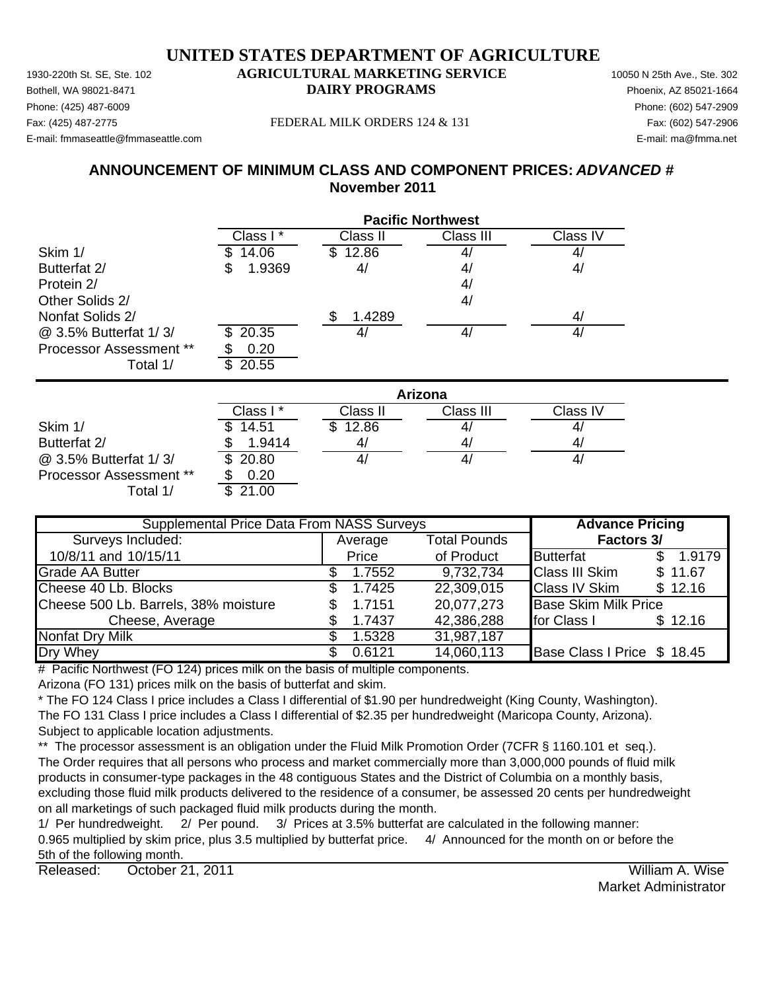Phone: (425) 487-6009 Phone: (602) 547-2909 E-mail: fmmaseattle@fmmaseattle.com E-mail: ma@fmma.net

#### Fax: (425) 487-2775 FEDERAL MILK ORDERS 124 & 131 Fax: (602) 547-2906

## **ANNOUNCEMENT OF MINIMUM CLASS AND COMPONENT PRICES:** *ADVANCED #* **November 2011**

|                         | <b>Pacific Northwest</b> |              |                |          |  |
|-------------------------|--------------------------|--------------|----------------|----------|--|
|                         | Class I*                 | Class II     | Class III      | Class IV |  |
| Skim 1/                 | 14.06                    | \$12.86      | 4,             | 4,       |  |
| Butterfat 2/            | 1.9369<br>3              | 4/           | 4 <sub>l</sub> | 4/       |  |
| Protein 2/              |                          |              | 4/             |          |  |
| Other Solids 2/         |                          |              | 4/             |          |  |
| Nonfat Solids 2/        |                          | \$<br>1.4289 |                | 4/       |  |
| @ 3.5% Butterfat 1/3/   | 20.35                    | 4/           | 4/             | 4/       |  |
| Processor Assessment ** | 0.20                     |              |                |          |  |
| Total 1/                | 20.55<br>\$              |              |                |          |  |
|                         | <b>Arizona</b>           |              |                |          |  |
|                         | Class I*                 | Class II     | Class III      | Class IV |  |
| Skim 1/                 | 14.51                    | \$<br>12.86  | 4,             | 4        |  |
| Butterfat 2/            | 1.9414                   | 4/           | 4              | 41       |  |

 $\omega$  3.5% Butterfat 1/3/  $\overline{3}$  20.80  $\overline{4/}$   $\overline{4/}$   $\overline{4/}$   $\overline{4/}$   $\overline{4/}$   $\overline{4/}$   $\overline{4/}$   $\overline{4/}$ Processor Assessment \*\* \$ 0.20 Total  $1/$   $\overline{\phantom{1}3.21.00}$ 

| <b>Supplemental Price Data From NASS Surveys</b> |         |        |                     | <b>Advance Pricing</b>      |          |
|--------------------------------------------------|---------|--------|---------------------|-----------------------------|----------|
| Surveys Included:                                | Average |        | <b>Total Pounds</b> | <b>Factors 3/</b>           |          |
| 10/8/11 and 10/15/11                             |         | Price  | of Product          | Butterfat                   | \$1.9179 |
| <b>Grade AA Butter</b>                           |         | 1.7552 | 9,732,734           | <b>Class III Skim</b>       | \$11.67  |
| Cheese 40 Lb. Blocks                             |         | 1.7425 | 22,309,015          | <b>Class IV Skim</b>        | \$12.16  |
| Cheese 500 Lb. Barrels, 38% moisture             |         | 1.7151 | 20,077,273          | <b>Base Skim Milk Price</b> |          |
| Cheese, Average                                  |         | 1.7437 | 42,386,288          | for Class I                 | \$12.16  |
| Nonfat Dry Milk                                  |         | 1.5328 | 31,987,187          |                             |          |
| Dry Whey                                         |         | 0.6121 | 14,060,113          | Base Class I Price \$ 18.45 |          |

 $#$  Pacific Northwest (FO 124) prices milk on the basis of multiple components.

Arizona (FO 131) prices milk on the basis of butterfat and skim.

\* The FO 124 Class I price includes a Class I differential of \$1.90 per hundredweight (King County, Washington). The FO 131 Class I price includes a Class I differential of \$2.35 per hundredweight (Maricopa County, Arizona). Subject to applicable location adjustments.

\*\* The processor assessment is an obligation under the Fluid Milk Promotion Order (7CFR § 1160.101 et seq.). The Order requires that all persons who process and market commercially more than 3,000,000 pounds of fluid milk products in consumer-type packages in the 48 contiguous States and the District of Columbia on a monthly basis, excluding those fluid milk products delivered to the residence of a consumer, be assessed 20 cents per hundredweight on all marketings of such packaged fluid milk products during the month.

1/ Per hundredweight. 2/ Per pound. 3/ Prices at 3.5% butterfat are calculated in the following manner: 0.965 multiplied by skim price, plus 3.5 multiplied by butterfat price. 4/ Announced for the month on or before the 5th of the following month.

Released: William A. Wise October 21, 2011